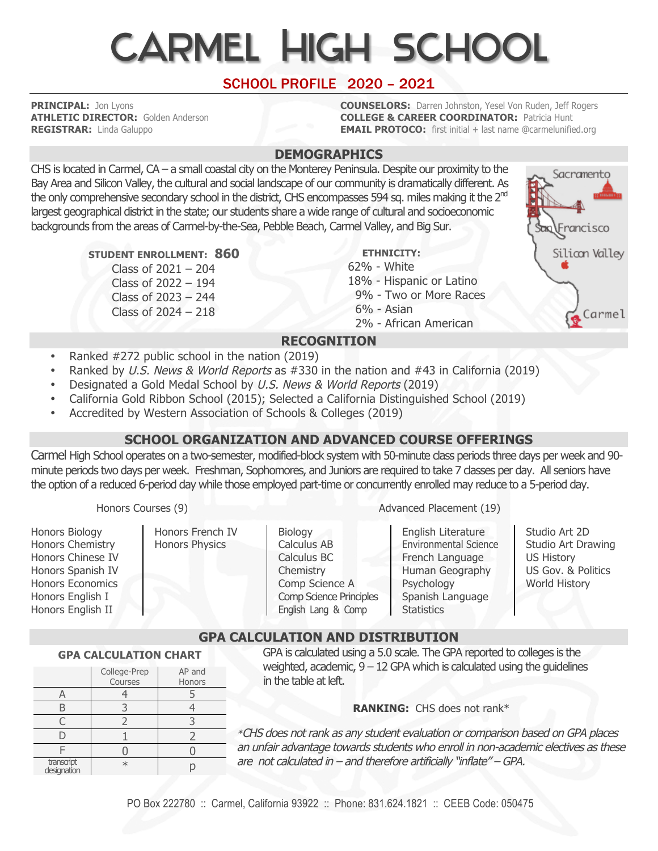# Carmel High School

# SCHOOL PROFILE 2020 – 2021

**PRINCIPAL:** Jon Lyons **COUNSELORS:** Darren Johnston, Yesel Von Ruden, Jeff Rogers **ATHLETIC DIRECTOR:** Golden Anderson **COLLEGE & CAREER COORDINATOR:** Patricia Hunt **REGISTRAR:** Linda Galuppo **EMAIL PROTOCO:** first initial + last name @carmelunified.org

### **DEMOGRAPHICS**

CHS is located in Carmel, CA – a small coastal city on the Monterey Peninsula. Despite our proximity to the Bay Area and Silicon Valley, the cultural and social landscape of our community is dramatically different. As the only comprehensive secondary school in the district, CHS encompasses 594 sq. miles making it the 2<sup>nd</sup> largest geographical district in the state; our students share a wide range of cultural and socioeconomic backgrounds from the areas of Carmel-by-the-Sea, Pebble Beach, Carmel Valley, and Big Sur.

 **STUDENT ENROLLMENT: 860**

Class of 2021 – 204 Class of 2022 – 194 Class of 2023 – 244 Class of 2024 – 218  **ETHNICITY:** 

62% - White 18% - Hispanic or Latino 9% - Two or More Races

6% - Asian

2% - African American

# **RECOGNITION**

- Ranked #272 public school in the nation (2019)
- Ranked by U.S. News & World Reports as #330 in the nation and #43 in California (2019)
- Designated a Gold Medal School by U.S. News & World Reports (2019)
- California Gold Ribbon School (2015); Selected a California Distinguished School (2019)
- Accredited by Western Association of Schools & Colleges (2019)

## **SCHOOL ORGANIZATION AND ADVANCED COURSE OFFERINGS**

Carmel High School operates on a two-semester, modified-block system with 50-minute class periods three days per week and 90 minute periods two days per week. Freshman, Sophomores, and Juniors are required to take 7 classes per day. All seniors have the option of a reduced 6-period day while those employed part-time or concurrently enrolled may reduce to a 5-period day.

Honors Biology Honors Chemistry Honors Chinese IV Honors Spanish IV Honors Economics Honors English I Honors English II

Honors French IV

Honors Physics

Biology Calculus AB Calculus BC **Chemistry** Comp Science A Comp Science Principles English Lang & Comp

Honors Courses (9) Advanced Placement (19)

English Literature Environmental Science French Language Human Geography Psychology Spanish Language **Statistics** 

Studio Art 2D Studio Art Drawing US History US Gov. & Politics World History

# **GPA CALCULATION AND DISTRIBUTION**

#### **GPA CALCULATION CHART**

|                           | College-Prep<br>Courses | AP and<br>Honors |
|---------------------------|-------------------------|------------------|
|                           |                         |                  |
|                           |                         |                  |
|                           |                         |                  |
|                           |                         |                  |
|                           |                         |                  |
| transcript<br>designation | $\star$                 |                  |

GPA is calculated using a 5.0 scale. The GPA reported to colleges is the weighted, academic,  $9 - 12$  GPA which is calculated using the guidelines in the table at left.

#### **RANKING:** CHS does not rank\*

\*CHS does not rank as any student evaluation or comparison based on GPA places an unfair advantage towards students who enroll in non-academic electives as these are not calculated in – and therefore artificially "inflate" – GPA.

Francisco Silicon Valley

Sacramento

Carmel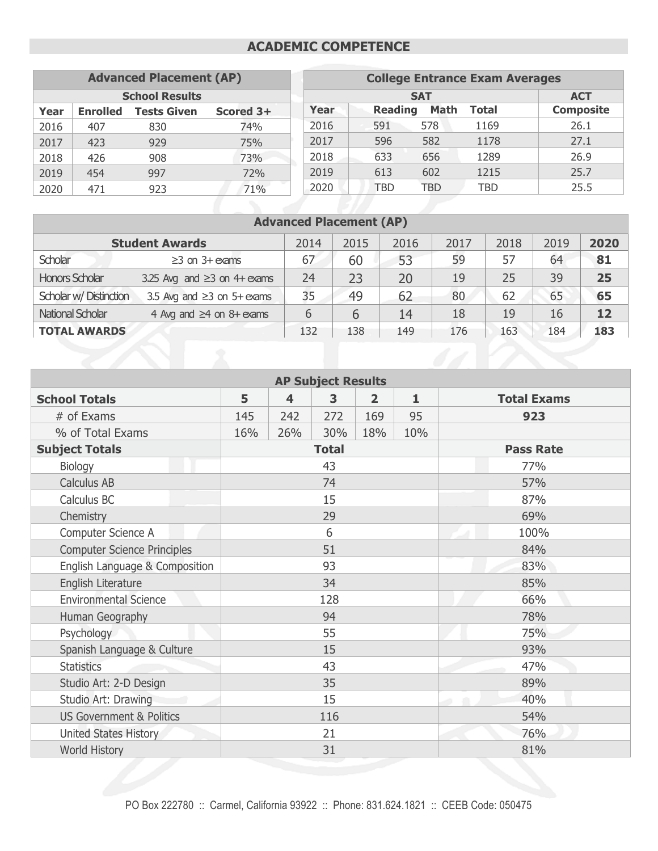## **ACADEMIC COMPETENCE**

| <b>Advanced Placement (AP)</b> |                 |                    | <b>College Entrance Exam Averages</b> |            |                |      |              |                  |
|--------------------------------|-----------------|--------------------|---------------------------------------|------------|----------------|------|--------------|------------------|
| <b>School Results</b>          |                 |                    |                                       | <b>SAT</b> | <b>ACT</b>     |      |              |                  |
| Year                           | <b>Enrolled</b> | <b>Tests Given</b> | Scored 3+                             | Year       | <b>Reading</b> | Math | <b>Total</b> | <b>Composite</b> |
| 2016                           | 407             | 830                | 74%                                   | 2016       | 591            | 578  | 1169         | 26.1             |
| 2017                           | 423             | 929                | 75%                                   | 2017       | 596            | 582  | 1178         | 27.1             |
| 2018                           | 426             | 908                | 73%                                   | 2018       | 633            | 656  | 1289         | 26.9             |
| 2019                           | 454             | 997                | 72%                                   | 2019       | 613            | 602  | 1215         | 25.7             |
| 2020                           | 471             | 923                | 71%                                   | 2020       | TBD            | TBD  | TBD          | 25.5             |

# **Advanced Placement (AP)**

| <b>Student Awards</b>  | 2014                              | 2015 | 2016 | 2017 | 2018 | 2019 | 2020 |     |
|------------------------|-----------------------------------|------|------|------|------|------|------|-----|
| Scholar                | $\geq$ 3 on 3+ exams              | 67   | 60   | 53   | 59   | 57   | 64   | 81  |
| <b>Honors Scholar</b>  | 3.25 Avg and $\geq$ 3 on 4+ exams | 24   | 23   | 20   | 19   | 25   | 39   | 25  |
| Scholar w/ Distinction | 3.5 Avg and $\geq$ 3 on 5+ exams  | 35   | 49   | 62   | 80   | 62   | 65   | 65  |
| National Scholar       | 4 Avg and $\geq$ 4 on 8+ exams    | 6    | 6    | 14   | 18   | 19   | 16   | 12  |
| <b>TOTAL AWARDS</b>    |                                   | 132  | 138  | 149  | 176  | 163  | 184  | 183 |

| <b>AP Subject Results</b>           |           |     |              |                |                  |                    |  |  |
|-------------------------------------|-----------|-----|--------------|----------------|------------------|--------------------|--|--|
| <b>School Totals</b>                | 5         | 4   | 3            | $\overline{2}$ | $\mathbf{1}$     | <b>Total Exams</b> |  |  |
| # of Exams                          | 145       | 242 | 272          | 169            | 95               | 923                |  |  |
| % of Total Exams                    | 16%       | 26% | 30%          | 18%            | 10%              |                    |  |  |
| <b>Subject Totals</b>               |           |     | <b>Total</b> |                | <b>Pass Rate</b> |                    |  |  |
| Biology                             |           |     | 43           |                |                  | 77%                |  |  |
| <b>Calculus AB</b>                  |           |     | 74           |                |                  | 57%                |  |  |
| Calculus BC                         |           |     | 15           |                |                  | 87%                |  |  |
| Chemistry                           |           |     | 29           |                |                  | 69%                |  |  |
| Computer Science A                  | 6<br>100% |     |              |                |                  |                    |  |  |
| <b>Computer Science Principles</b>  |           |     | 51           |                | 84%              |                    |  |  |
| English Language & Composition      | 93        |     |              |                |                  | 83%                |  |  |
| English Literature                  | 34        |     |              |                |                  | 85%                |  |  |
| <b>Environmental Science</b>        |           |     | 128          |                |                  | 66%                |  |  |
| Human Geography                     |           |     | 94           |                |                  | 78%                |  |  |
| Psychology                          |           |     | 55           |                |                  | 75%                |  |  |
| Spanish Language & Culture          |           |     | 15           |                |                  | 93%                |  |  |
| <b>Statistics</b>                   | 43        |     |              |                | 47%              |                    |  |  |
| Studio Art: 2-D Design              | 35        |     |              |                | 89%              |                    |  |  |
| Studio Art: Drawing                 | 15<br>40% |     |              |                |                  |                    |  |  |
| <b>US Government &amp; Politics</b> | 116       |     |              |                |                  | 54%                |  |  |
| <b>United States History</b>        | 21        |     |              |                |                  | 76%                |  |  |
| World History                       |           |     | 31           |                |                  | 81%                |  |  |